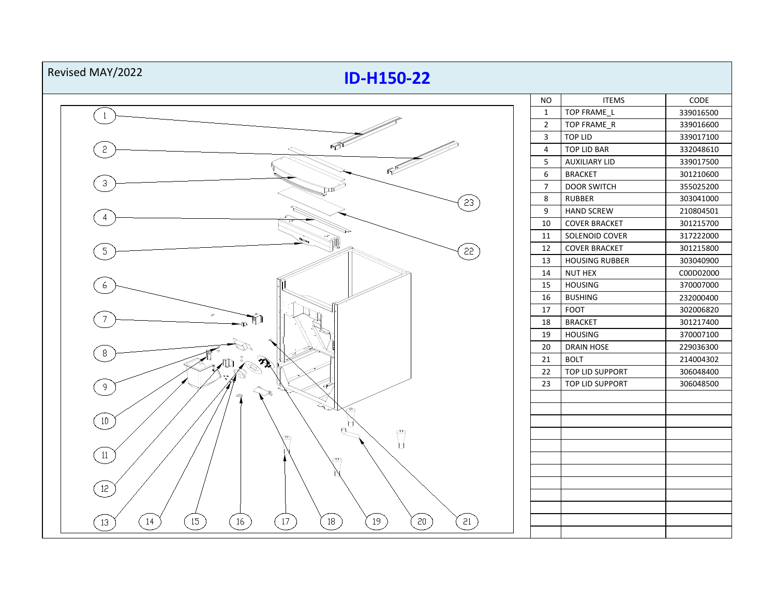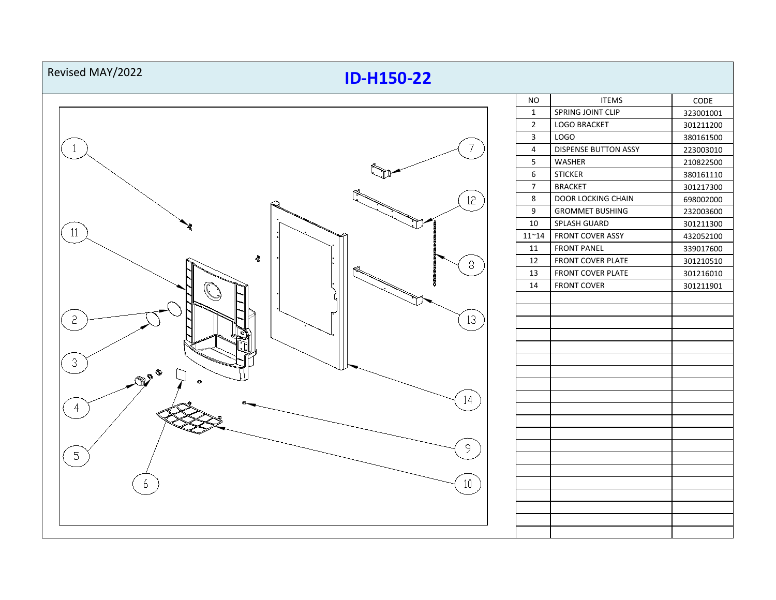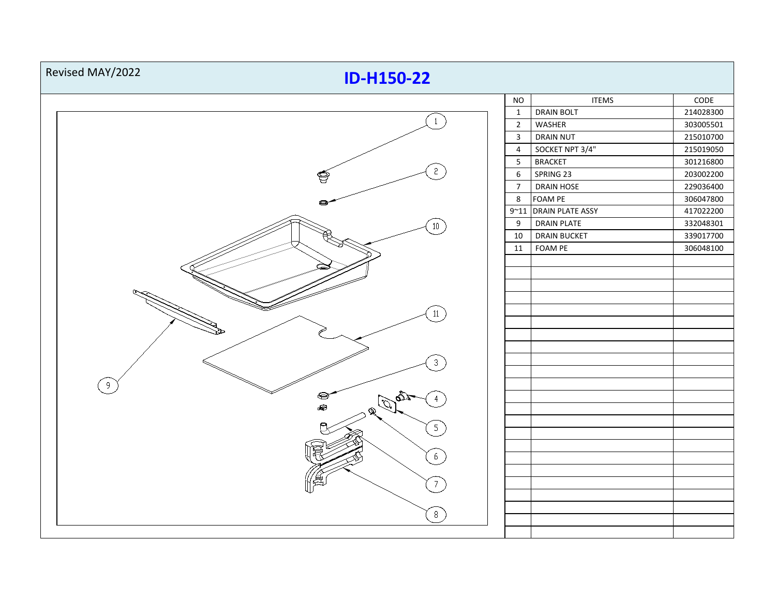| Revised MAY/2022<br><b>ID-H150-22</b>          |                |                         |                 |
|------------------------------------------------|----------------|-------------------------|-----------------|
|                                                | <b>NO</b>      | <b>ITEMS</b>            | $\mathsf{CODE}$ |
|                                                | $\mathbf{1}$   | <b>DRAIN BOLT</b>       | 214028300       |
| $\mathbf{1}$                                   | $\overline{2}$ | WASHER                  | 303005501       |
|                                                | $\overline{3}$ | <b>DRAIN NUT</b>        | 215010700       |
|                                                | $\overline{4}$ | SOCKET NPT 3/4"         | 215019050       |
|                                                | $5\phantom{.}$ | <b>BRACKET</b>          | 301216800       |
| $\sqrt{2}$<br>Ş                                | $\,$ 6 $\,$    | SPRING 23               | 203002200       |
|                                                | $\overline{7}$ | DRAIN HOSE              | 229036400       |
|                                                | 8              | FOAM PE                 | 306047800       |
|                                                | $9 - 11$       | <b>DRAIN PLATE ASSY</b> | 417022200       |
| $10\,$                                         | 9              | <b>DRAIN PLATE</b>      | 332048301       |
|                                                | 10             | <b>DRAIN BUCKET</b>     | 339017700       |
|                                                | 11             | FOAM PE                 | 306048100       |
|                                                |                |                         |                 |
|                                                |                |                         |                 |
|                                                |                |                         |                 |
|                                                |                |                         |                 |
| 11                                             |                |                         |                 |
|                                                |                |                         |                 |
|                                                |                |                         |                 |
|                                                |                |                         |                 |
| $\overline{3}$                                 |                |                         |                 |
|                                                |                |                         |                 |
| 9                                              |                |                         |                 |
| $\quad \  \  \, \otimes$<br>踏                  |                |                         |                 |
| Q                                              |                |                         |                 |
| $5\phantom{.0}$                                |                |                         |                 |
|                                                |                |                         |                 |
|                                                |                |                         |                 |
| 6                                              |                |                         |                 |
|                                                |                |                         |                 |
| 7                                              |                |                         |                 |
|                                                |                |                         |                 |
| $\left[\begin{array}{cc} 8 \end{array}\right]$ |                |                         |                 |
|                                                |                |                         |                 |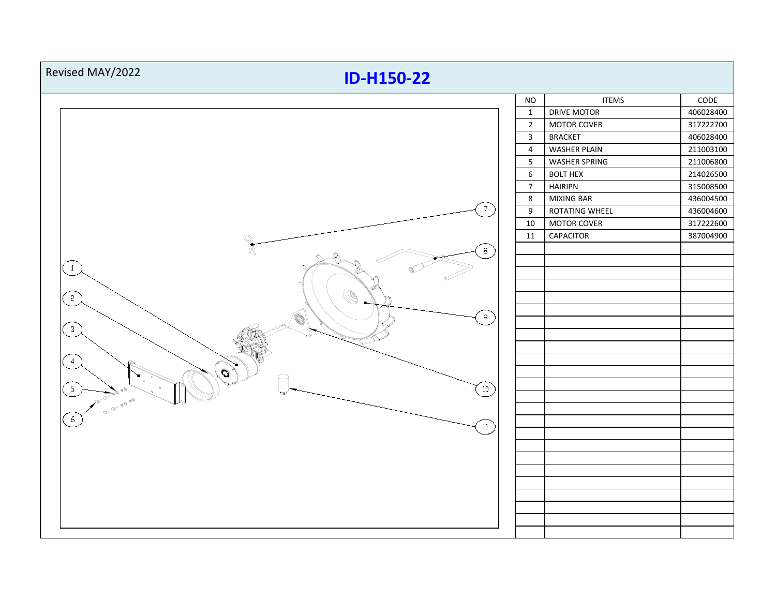| Revised MAY/2022<br><b>ID-H150-22</b>                 |                  |                      |                   |  |
|-------------------------------------------------------|------------------|----------------------|-------------------|--|
|                                                       | <b>NO</b>        | <b>ITEMS</b>         | $\texttt{CODE}{}$ |  |
|                                                       | $\mathbf{1}$     | <b>DRIVE MOTOR</b>   | 406028400         |  |
| $\overline{7}$                                        | $\overline{2}$   | <b>MOTOR COVER</b>   | 317222700         |  |
|                                                       | $\mathbf{3}$     | <b>BRACKET</b>       | 406028400         |  |
|                                                       | $\sqrt{4}$       | <b>WASHER PLAIN</b>  | 211003100         |  |
|                                                       | $5\phantom{a}$   | <b>WASHER SPRING</b> | 211006800         |  |
|                                                       | $\,$ 6 $\,$      | <b>BOLT HEX</b>      | 214026500         |  |
|                                                       | $\overline{7}$   | <b>HAIRIPN</b>       | 315008500         |  |
|                                                       | 8                | <b>MIXING BAR</b>    | 436004500         |  |
|                                                       | $\boldsymbol{9}$ | ROTATING WHEEL       | 436004600         |  |
|                                                       | 10               | <b>MOTOR COVER</b>   | 317222600         |  |
|                                                       | 11               | CAPACITOR            | 387004900         |  |
| $\mathbb{R}$<br>$8\,$                                 |                  |                      |                   |  |
|                                                       |                  |                      |                   |  |
| $\overline{1}$                                        |                  |                      |                   |  |
|                                                       |                  |                      |                   |  |
| O)<br>$\left( \begin{array}{c} 2 \end{array} \right)$ |                  |                      |                   |  |
|                                                       |                  |                      |                   |  |
| $9^{\circ}$<br>Ó                                      |                  |                      |                   |  |
| $\left(3\right)$                                      |                  |                      |                   |  |
|                                                       |                  |                      |                   |  |
| $\overline{4}$                                        |                  |                      |                   |  |
| o                                                     |                  |                      |                   |  |
| 5 <sup>1</sup>                                        |                  |                      |                   |  |
| $\left(10\right)$<br><b>ACCEPTED</b>                  |                  |                      |                   |  |
| <b>CES DES DIGITAS</b>                                |                  |                      |                   |  |
| 6                                                     |                  |                      |                   |  |
| $\left[11\right]$                                     |                  |                      |                   |  |
|                                                       |                  |                      |                   |  |
|                                                       |                  |                      |                   |  |
|                                                       |                  |                      |                   |  |
|                                                       |                  |                      |                   |  |
|                                                       |                  |                      |                   |  |
|                                                       |                  |                      |                   |  |
|                                                       |                  |                      |                   |  |
|                                                       |                  |                      |                   |  |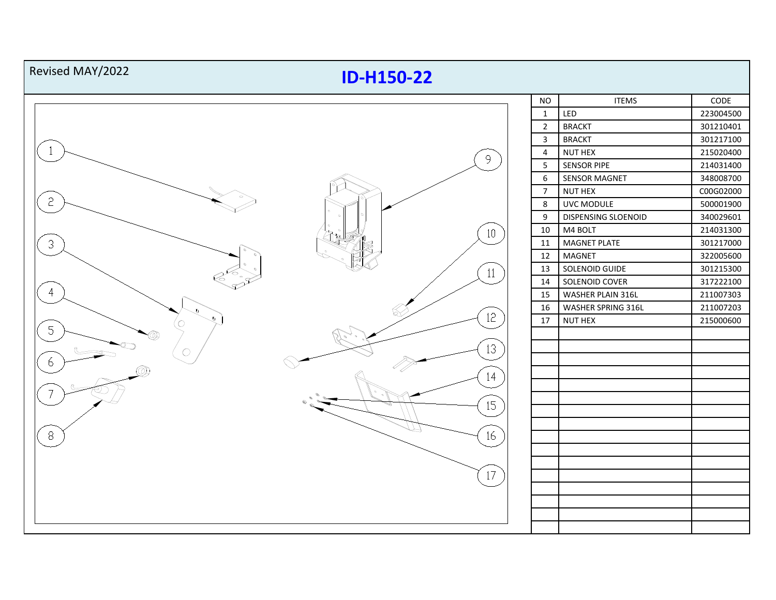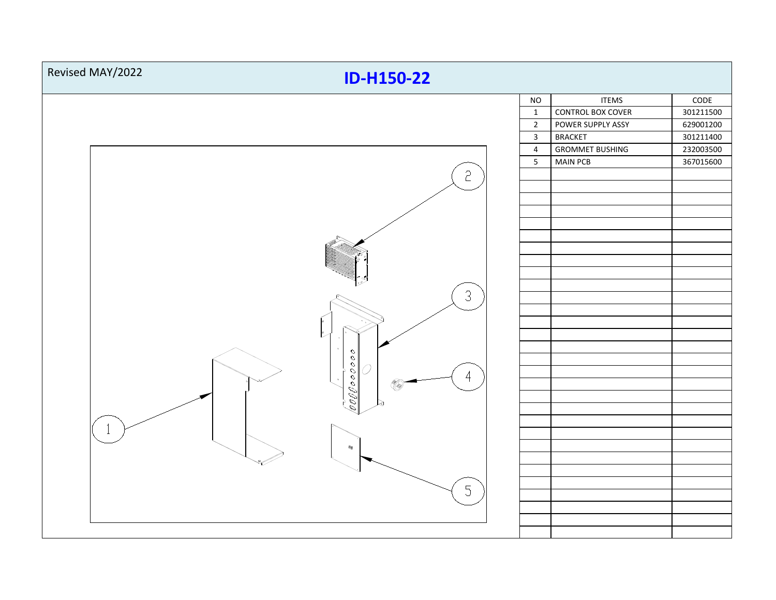